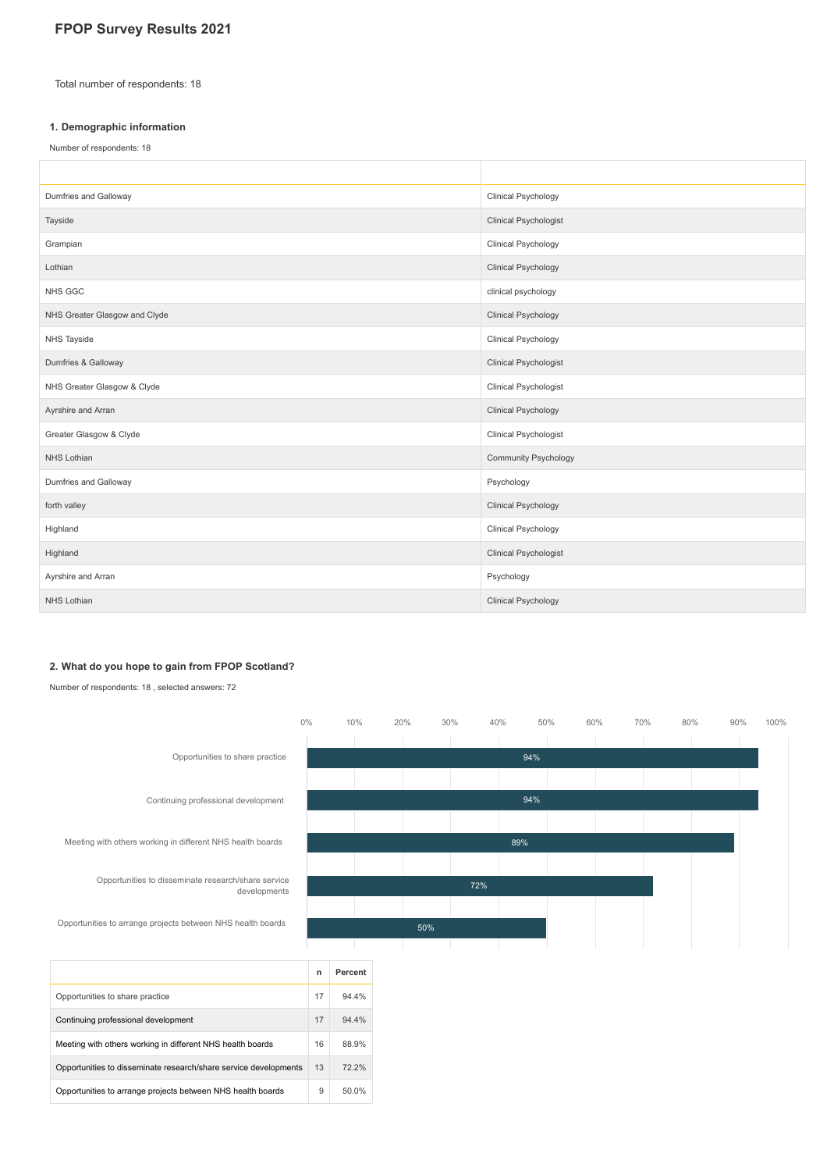# **FPOP Survey Results 2021**

Total number of respondents: 18

#### **1. Demographic information**

Number of respondents: 18

| Dumfries and Galloway         | Clinical Psychology          |
|-------------------------------|------------------------------|
| Tayside                       | <b>Clinical Psychologist</b> |
| Grampian                      | Clinical Psychology          |
| Lothian                       | <b>Clinical Psychology</b>   |
| NHS GGC                       | clinical psychology          |
| NHS Greater Glasgow and Clyde | <b>Clinical Psychology</b>   |
| NHS Tayside                   | Clinical Psychology          |
| Dumfries & Galloway           | <b>Clinical Psychologist</b> |
| NHS Greater Glasgow & Clyde   | Clinical Psychologist        |
| Ayrshire and Arran            | <b>Clinical Psychology</b>   |
| Greater Glasgow & Clyde       | Clinical Psychologist        |
| <b>NHS Lothian</b>            | <b>Community Psychology</b>  |
| Dumfries and Galloway         | Psychology                   |
| forth valley                  | <b>Clinical Psychology</b>   |
| Highland                      | <b>Clinical Psychology</b>   |
| Highland                      | <b>Clinical Psychologist</b> |
| Ayrshire and Arran            | Psychology                   |
| NHS Lothian                   | <b>Clinical Psychology</b>   |

#### **2. What do you hope to gain from FPOP Scotland?**

Opportunities to disseminate research/share service developments 13 72.2% Opportunities to arrange projects between NHS health boards 9 50.0%

Number of respondents: 18 , selected answers: 72

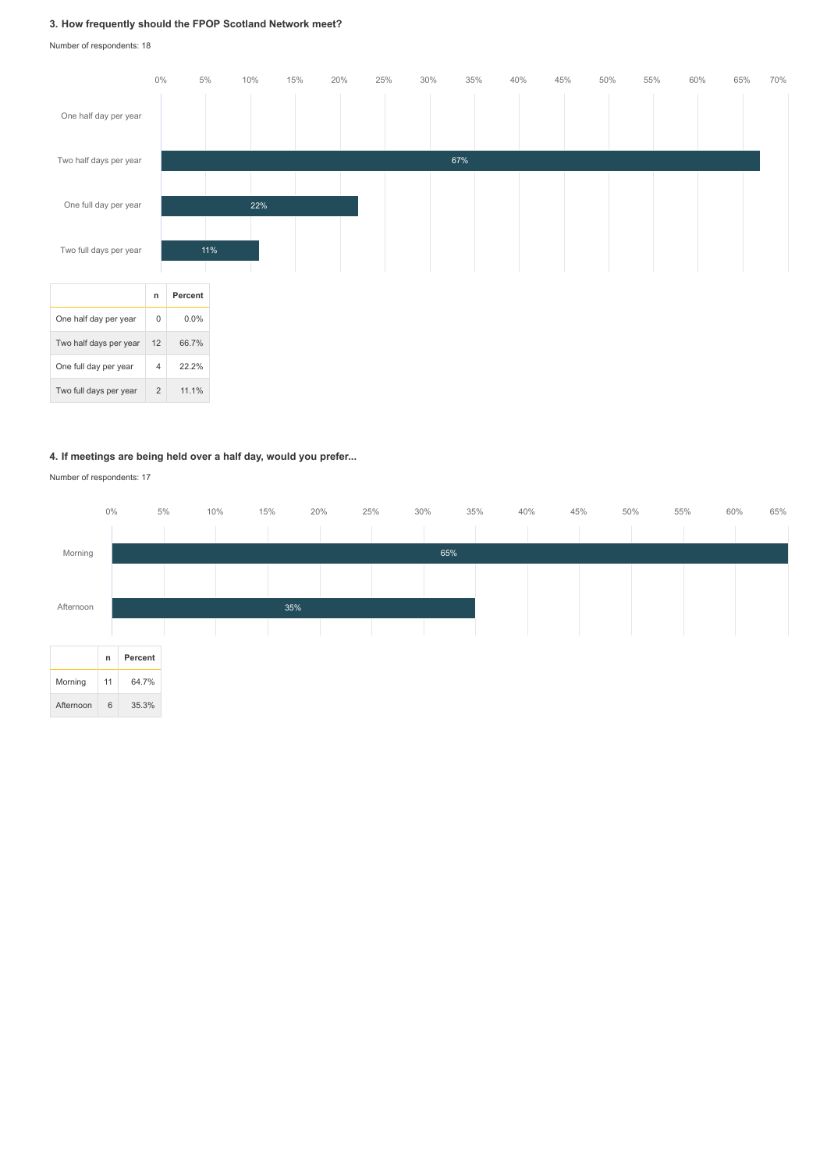## **3. How frequently should the FPOP Scotland Network meet?**

Number of respondents: 18



#### **4. If meetings are being held over a half day, would you prefer...**

Number of respondents: 17

|           | $0\%$        |         | 5% | 10%<br>15% |     | 20% | 25%<br>30% |     | 35% | 40% | 45% | 50% | 55%<br>60% | 65% |
|-----------|--------------|---------|----|------------|-----|-----|------------|-----|-----|-----|-----|-----|------------|-----|
|           |              |         |    |            |     |     |            |     |     |     |     |     |            |     |
| Morning   |              |         |    |            |     |     |            | 65% |     |     |     |     |            |     |
|           |              |         |    |            |     |     |            |     |     |     |     |     |            |     |
| Afternoon |              |         |    |            | 35% |     |            |     |     |     |     |     |            |     |
|           |              |         |    |            |     |     |            |     |     |     |     |     |            |     |
|           |              |         |    |            |     |     |            |     |     |     |     |     |            |     |
|           | $\mathsf{n}$ | Percent |    |            |     |     |            |     |     |     |     |     |            |     |
| Morning   | 11           | 64.7%   |    |            |     |     |            |     |     |     |     |     |            |     |
| Afternoon | 6            | 35.3%   |    |            |     |     |            |     |     |     |     |     |            |     |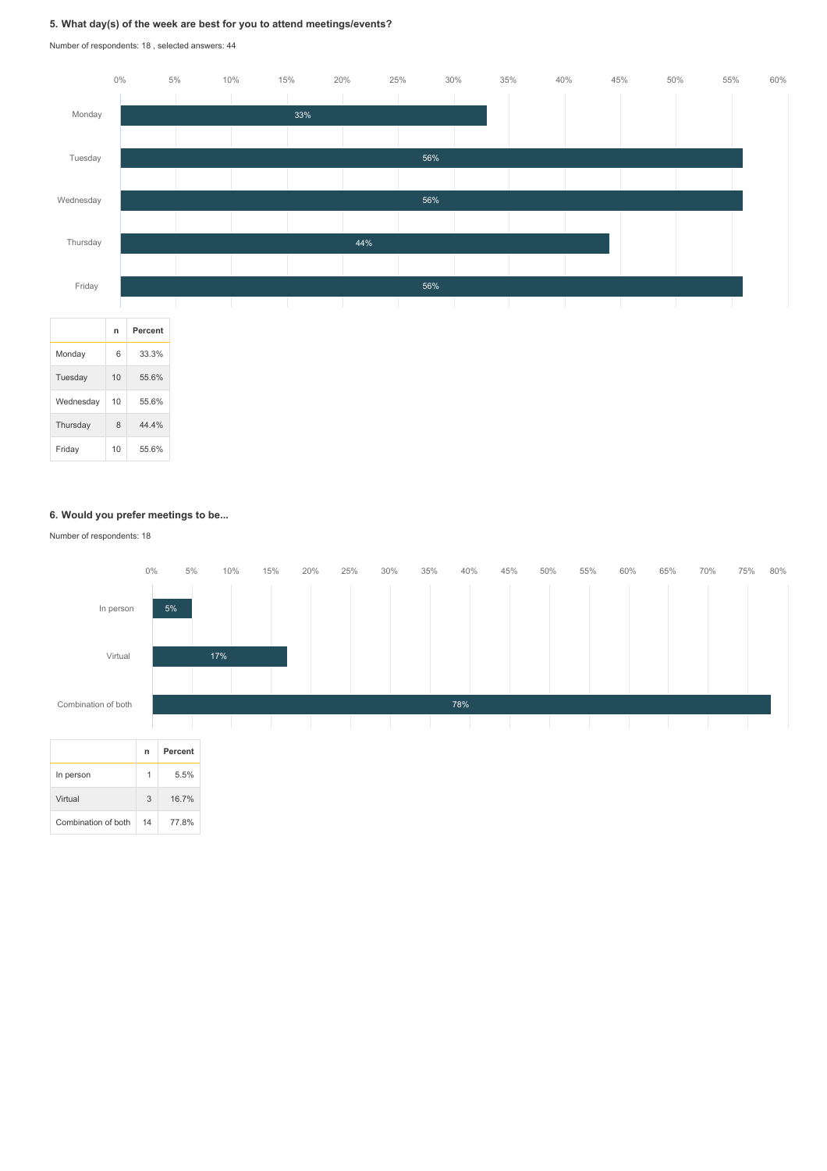## **5. What day(s) of the week are best for you to attend meetings/events?**

Number of respondents: 18 , selected answers: 44



#### **6. Would you prefer meetings to be...**

Number of respondents: 18

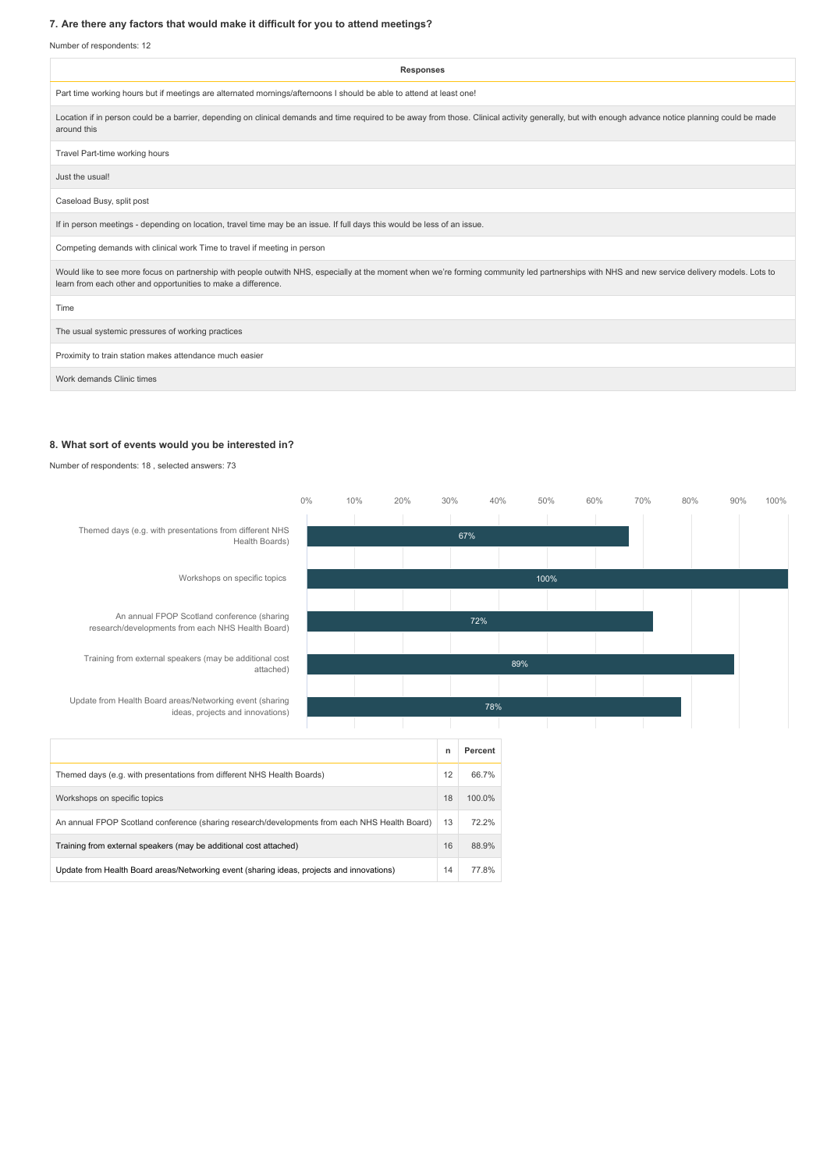## **7. Are there any factors that would make it difficult for you to attend meetings?**

Number of respondents: 12

| <b>Responses</b>                                                                                                                                                                                                                                               |
|----------------------------------------------------------------------------------------------------------------------------------------------------------------------------------------------------------------------------------------------------------------|
| Part time working hours but if meetings are alternated mornings/afternoons I should be able to attend at least one!                                                                                                                                            |
| Location if in person could be a barrier, depending on clinical demands and time required to be away from those. Clinical activity generally, but with enough advance notice planning could be made<br>around this                                             |
| Travel Part-time working hours                                                                                                                                                                                                                                 |
| Just the usual!                                                                                                                                                                                                                                                |
| Caseload Busy, split post                                                                                                                                                                                                                                      |
| If in person meetings - depending on location, travel time may be an issue. If full days this would be less of an issue.                                                                                                                                       |
| Competing demands with clinical work Time to travel if meeting in person                                                                                                                                                                                       |
| Would like to see more focus on partnership with people outwith NHS, especially at the moment when we're forming community led partnerships with NHS and new service delivery models. Lots to<br>learn from each other and opportunities to make a difference. |
| Time                                                                                                                                                                                                                                                           |
| The usual systemic pressures of working practices                                                                                                                                                                                                              |
| Proximity to train station makes attendance much easier                                                                                                                                                                                                        |
| Work demands Clinic times                                                                                                                                                                                                                                      |

#### **8. What sort of events would you be interested in?**

Number of respondents: 18 , selected answers: 73

|                                                                                                  | $0\%$ | 10%    | 20% | 30% | 40%     |     | 50%  | 60% | 70% | 80% | 90% | 100% |
|--------------------------------------------------------------------------------------------------|-------|--------|-----|-----|---------|-----|------|-----|-----|-----|-----|------|
| Themed days (e.g. with presentations from different NHS                                          |       |        |     |     |         |     |      |     |     |     |     |      |
| Health Boards)                                                                                   |       |        |     |     | 67%     |     |      |     |     |     |     |      |
|                                                                                                  |       |        |     |     |         |     |      |     |     |     |     |      |
| Workshops on specific topics                                                                     |       |        |     |     |         |     | 100% |     |     |     |     |      |
|                                                                                                  |       |        |     |     |         |     |      |     |     |     |     |      |
| An annual FPOP Scotland conference (sharing<br>research/developments from each NHS Health Board) |       |        |     |     |         |     |      |     |     |     |     |      |
|                                                                                                  |       |        |     |     |         |     |      |     |     |     |     |      |
| Training from external speakers (may be additional cost<br>attached)                             |       |        |     |     |         | 89% |      |     |     |     |     |      |
|                                                                                                  |       |        |     |     |         |     |      |     |     |     |     |      |
| Update from Health Board areas/Networking event (sharing<br>ideas, projects and innovations)     |       | 78%    |     |     |         |     |      |     |     |     |     |      |
|                                                                                                  |       |        |     |     |         |     |      |     |     |     |     |      |
|                                                                                                  |       |        |     | n   | Percent |     |      |     |     |     |     |      |
| Themed days (e.g. with presentations from different NHS Health Boards)                           |       |        |     | 12  | 66.7%   |     |      |     |     |     |     |      |
| Workshops on specific topics                                                                     | 18    | 100.0% |     |     |         |     |      |     |     |     |     |      |
| An annual FPOP Scotland conference (sharing research/developments from each NHS Health Board)    | 13    | 72.2%  |     |     |         |     |      |     |     |     |     |      |
| Training from external speakers (may be additional cost attached)                                | 16    | 88.9%  |     |     |         |     |      |     |     |     |     |      |
| Update from Health Board areas/Networking event (sharing ideas, projects and innovations)        | 14    | 77.8%  |     |     |         |     |      |     |     |     |     |      |